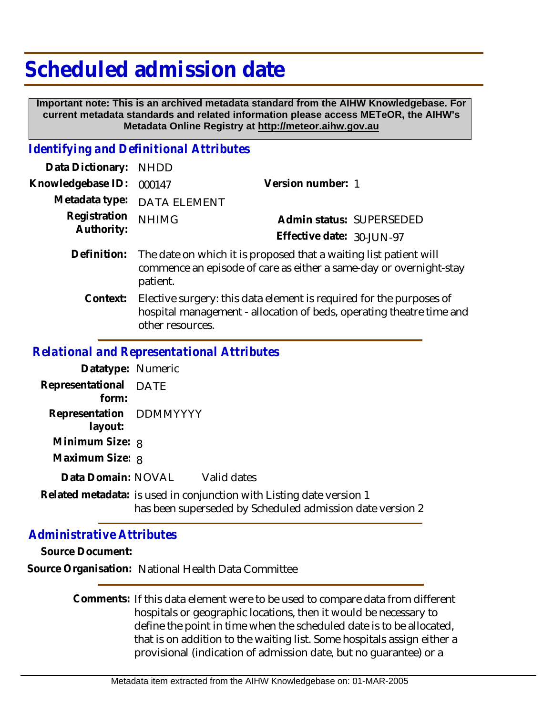## **Scheduled admission date**

 **Important note: This is an archived metadata standard from the AIHW Knowledgebase. For current metadata standards and related information please access METeOR, the AIHW's Metadata Online Registry at http://meteor.aihw.gov.au**

## *Identifying and Definitional Attributes*

| Data Dictionary:           | <b>NHDD</b>                                                                                                                                                     |                           |
|----------------------------|-----------------------------------------------------------------------------------------------------------------------------------------------------------------|---------------------------|
| Knowledgebase ID:          | 000147                                                                                                                                                          | Version number: 1         |
| Metadata type:             | <b>DATA ELEMENT</b>                                                                                                                                             |                           |
| Registration<br>Authority: | <b>NHIMG</b>                                                                                                                                                    | Admin status: SUPERSEDED  |
|                            |                                                                                                                                                                 | Effective date: 30-JUN-97 |
| Definition:                | The date on which it is proposed that a waiting list patient will<br>commence an episode of care as either a same-day or overnight-stay<br>patient.             |                           |
| Context:                   | Elective surgery: this data element is required for the purposes of<br>hospital management - allocation of beds, operating theatre time and<br>other resources. |                           |
|                            | .                                                                                                                                                               |                           |

## *Relational and Representational Attributes*

| Datatype: Numeric                  |                                                                                                                                   |
|------------------------------------|-----------------------------------------------------------------------------------------------------------------------------------|
| Representational DATE<br>form:     |                                                                                                                                   |
| Representation DDMMYYYY<br>layout: |                                                                                                                                   |
| Minimum Size: 8                    |                                                                                                                                   |
| Maximum Size: 8                    |                                                                                                                                   |
|                                    | Data Domain: NOVAL Valid dates                                                                                                    |
|                                    | Related metadata: is used in conjunction with Listing date version 1<br>has been superseded by Scheduled admission date version 2 |

## *Administrative Attributes*

**Source Document:**

**Source Organisation:** National Health Data Committee

Comments: If this data element were to be used to compare data from different hospitals or geographic locations, then it would be necessary to define the point in time when the scheduled date is to be allocated, that is on addition to the waiting list. Some hospitals assign either a provisional (indication of admission date, but no guarantee) or a